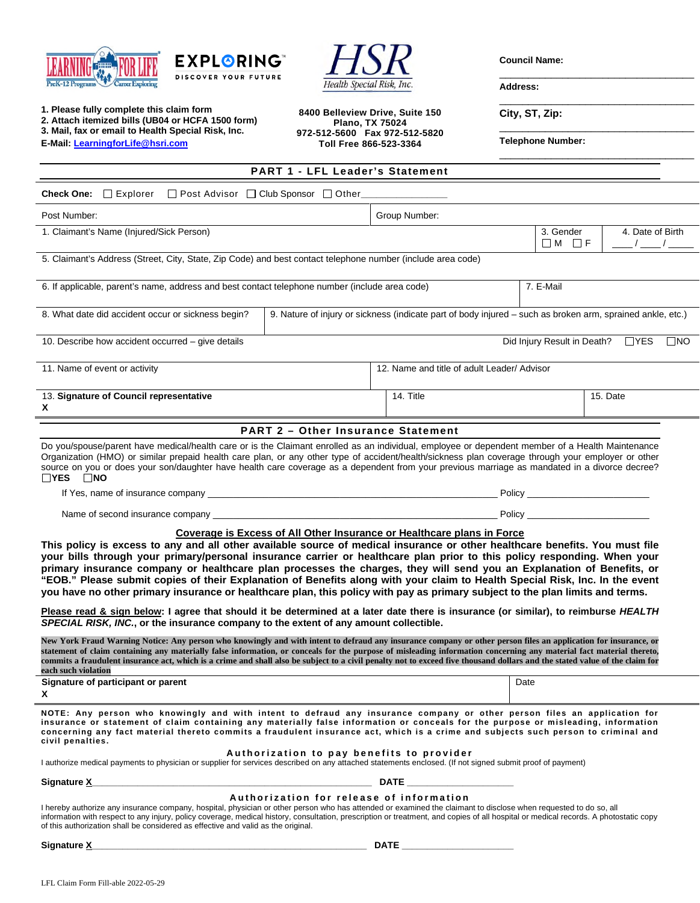





**Council Name:** 

\_\_\_\_\_\_\_\_\_\_\_\_\_\_\_\_\_\_\_\_\_\_\_\_\_\_\_\_\_\_\_\_\_\_

\_\_\_\_\_\_\_\_\_\_\_\_\_\_\_\_\_\_\_\_\_\_\_\_\_\_\_\_\_\_\_\_\_\_

**Address:** 

| 1. Please fully complete this claim form<br>2. Attach itemized bills (UB04 or HCFA 1500 form)<br>3. Mail, fax or email to Health Special Risk, Inc.<br>E-Mail: LearningforLife@hsri.com                                                                                                                                                                                                                                                                                                                                                                                                                                                                                                                                      | 8400 Belleview Drive, Suite 150<br>Plano, TX 75024<br>972-512-5600 Fax 972-512-5820<br>Toll Free 866-523-3364 |                                             | City, ST, Zip:<br><b>Telephone Number:</b> |                  |  |
|------------------------------------------------------------------------------------------------------------------------------------------------------------------------------------------------------------------------------------------------------------------------------------------------------------------------------------------------------------------------------------------------------------------------------------------------------------------------------------------------------------------------------------------------------------------------------------------------------------------------------------------------------------------------------------------------------------------------------|---------------------------------------------------------------------------------------------------------------|---------------------------------------------|--------------------------------------------|------------------|--|
| <b>PART 1 - LFL Leader's Statement</b>                                                                                                                                                                                                                                                                                                                                                                                                                                                                                                                                                                                                                                                                                       |                                                                                                               |                                             |                                            |                  |  |
| □ Post Advisor □ Club Sponsor □ Other_____________<br><b>Check One:</b> $\Box$ Explorer                                                                                                                                                                                                                                                                                                                                                                                                                                                                                                                                                                                                                                      |                                                                                                               |                                             |                                            |                  |  |
| Post Number:                                                                                                                                                                                                                                                                                                                                                                                                                                                                                                                                                                                                                                                                                                                 |                                                                                                               | Group Number:                               |                                            |                  |  |
| 1. Claimant's Name (Injured/Sick Person)                                                                                                                                                                                                                                                                                                                                                                                                                                                                                                                                                                                                                                                                                     |                                                                                                               |                                             | 3. Gender<br>$\Box M$ $\Box F$             | 4. Date of Birth |  |
| 5. Claimant's Address (Street, City, State, Zip Code) and best contact telephone number (include area code)                                                                                                                                                                                                                                                                                                                                                                                                                                                                                                                                                                                                                  |                                                                                                               |                                             |                                            |                  |  |
| 6. If applicable, parent's name, address and best contact telephone number (include area code)<br>7. E-Mail                                                                                                                                                                                                                                                                                                                                                                                                                                                                                                                                                                                                                  |                                                                                                               |                                             |                                            |                  |  |
| 8. What date did accident occur or sickness begin?                                                                                                                                                                                                                                                                                                                                                                                                                                                                                                                                                                                                                                                                           | 9. Nature of injury or sickness (indicate part of body injured - such as broken arm, sprained ankle, etc.)    |                                             |                                            |                  |  |
| 10. Describe how accident occurred - give details<br>Did Injury Result in Death? □YES □NO                                                                                                                                                                                                                                                                                                                                                                                                                                                                                                                                                                                                                                    |                                                                                                               |                                             |                                            |                  |  |
| 11. Name of event or activity                                                                                                                                                                                                                                                                                                                                                                                                                                                                                                                                                                                                                                                                                                |                                                                                                               | 12. Name and title of adult Leader/ Advisor |                                            |                  |  |
| 13. Signature of Council representative<br>X                                                                                                                                                                                                                                                                                                                                                                                                                                                                                                                                                                                                                                                                                 |                                                                                                               | 14. Title                                   | 15. Date                                   |                  |  |
|                                                                                                                                                                                                                                                                                                                                                                                                                                                                                                                                                                                                                                                                                                                              | <b>PART 2 - Other Insurance Statement</b>                                                                     |                                             |                                            |                  |  |
| Do you/spouse/parent have medical/health care or is the Claimant enrolled as an individual, employee or dependent member of a Health Maintenance<br>Organization (HMO) or similar prepaid health care plan, or any other type of accident/health/sickness plan coverage through your employer or other<br>source on you or does your son/daughter have health care coverage as a dependent from your previous marriage as mandated in a divorce decree?<br>$\Box$ YES $\Box$ NO                                                                                                                                                                                                                                              |                                                                                                               |                                             |                                            |                  |  |
|                                                                                                                                                                                                                                                                                                                                                                                                                                                                                                                                                                                                                                                                                                                              |                                                                                                               |                                             |                                            |                  |  |
|                                                                                                                                                                                                                                                                                                                                                                                                                                                                                                                                                                                                                                                                                                                              |                                                                                                               |                                             |                                            |                  |  |
| Coverage is Excess of All Other Insurance or Healthcare plans in Force<br>This policy is excess to any and all other available source of medical insurance or other healthcare benefits. You must file<br>your bills through your primary/personal insurance carrier or healthcare plan prior to this policy responding. When your<br>primary insurance company or healthcare plan processes the charges, they will send you an Explanation of Benefits, or<br>"EOB." Please submit copies of their Explanation of Benefits along with your claim to Health Special Risk, Inc. In the event<br>you have no other primary insurance or healthcare plan, this policy with pay as primary subject to the plan limits and terms. |                                                                                                               |                                             |                                            |                  |  |
| Please read & sign below: I agree that should it be determined at a later date there is insurance (or similar), to reimburse HEALTH<br>SPECIAL RISK, INC., or the insurance company to the extent of any amount collectible.                                                                                                                                                                                                                                                                                                                                                                                                                                                                                                 |                                                                                                               |                                             |                                            |                  |  |
| New York Fraud Warning Notice: Any person who knowingly and with intent to defraud any insurance company or other person files an application for insurance, or<br>statement of claim containing any materially false information, or conceals for the purpose of misleading information concerning any material fact material thereto,<br>commits a fraudulent insurance act, which is a crime and shall also be subject to a civil penalty not to exceed five thousand dollars and the stated value of the claim for<br>each such violation                                                                                                                                                                                |                                                                                                               |                                             |                                            |                  |  |
| Signature of participant or parent<br>x                                                                                                                                                                                                                                                                                                                                                                                                                                                                                                                                                                                                                                                                                      |                                                                                                               |                                             | Date                                       |                  |  |
| NOTE: Any person who knowingly and with intent to defraud any insurance company or other person files an application for<br>insurance or statement of claim containing any materially false information or conceals for the purpose or misleading, information<br>concerning any fact material thereto commits a fraudulent insurance act, which is a crime and subjects such person to criminal and<br>civil penalties.                                                                                                                                                                                                                                                                                                     |                                                                                                               |                                             |                                            |                  |  |
| Authorization to pay benefits to provider<br>I authorize medical payments to physician or supplier for services described on any attached statements enclosed. (If not signed submit proof of payment)                                                                                                                                                                                                                                                                                                                                                                                                                                                                                                                       |                                                                                                               |                                             |                                            |                  |  |
|                                                                                                                                                                                                                                                                                                                                                                                                                                                                                                                                                                                                                                                                                                                              |                                                                                                               |                                             |                                            |                  |  |
| Authorization for release of information<br>I hereby authorize any insurance company, hospital, physician or other person who has attended or examined the claimant to disclose when requested to do so, all<br>information with respect to any injury, policy coverage, medical history, consultation, prescription or treatment, and copies of all hospital or medical records. A photostatic copy<br>of this authorization shall be considered as effective and valid as the original.                                                                                                                                                                                                                                    |                                                                                                               |                                             |                                            |                  |  |
| Signature X_                                                                                                                                                                                                                                                                                                                                                                                                                                                                                                                                                                                                                                                                                                                 |                                                                                                               | $\mathsf{DATE}$ $\_$                        |                                            |                  |  |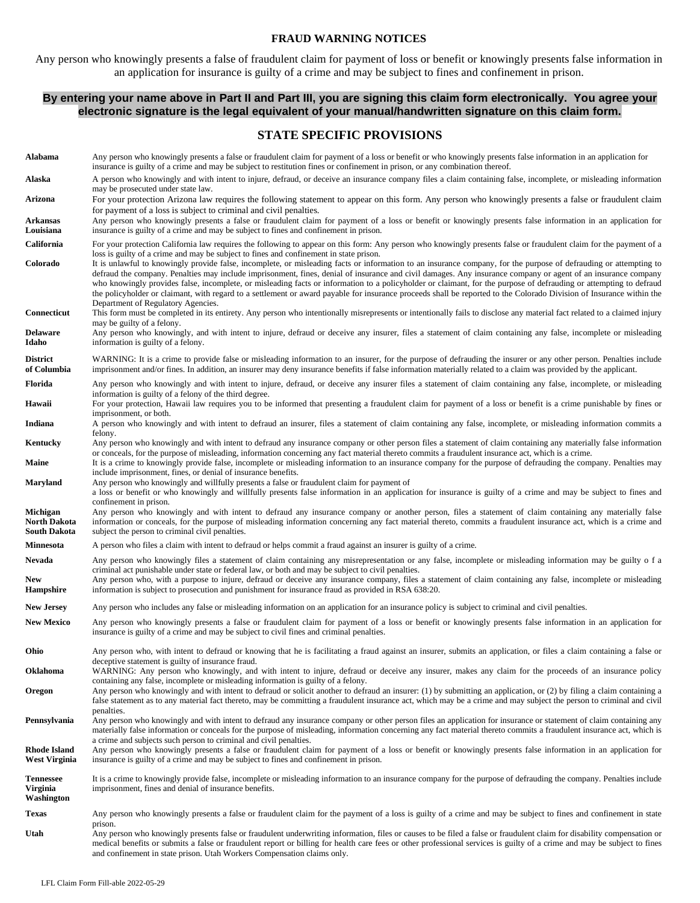#### **FRAUD WARNING NOTICES**

Any person who knowingly presents a false of fraudulent claim for payment of loss or benefit or knowingly presents false information in an application for insurance is guilty of a crime and may be subject to fines and confinement in prison.

#### **By entering your name above in Part II and Part III, you are signing this claim form electronically. You agree your electronic signature is the legal equivalent of your manual/handwritten signature on this claim form.**

#### **STATE SPECIFIC PROVISIONS**

| Alabama                                         | Any person who knowingly presents a false or fraudulent claim for payment of a loss or benefit or who knowingly presents false information in an application for<br>insurance is guilty of a crime and may be subject to restitution fines or confinement in prison, or any combination thereof.                                                                                                                                                                                                                                                                                                                                                                                                                       |
|-------------------------------------------------|------------------------------------------------------------------------------------------------------------------------------------------------------------------------------------------------------------------------------------------------------------------------------------------------------------------------------------------------------------------------------------------------------------------------------------------------------------------------------------------------------------------------------------------------------------------------------------------------------------------------------------------------------------------------------------------------------------------------|
| Alaska                                          | A person who knowingly and with intent to injure, defraud, or deceive an insurance company files a claim containing false, incomplete, or misleading information<br>may be prosecuted under state law.                                                                                                                                                                                                                                                                                                                                                                                                                                                                                                                 |
| Arizona                                         | For your protection Arizona law requires the following statement to appear on this form. Any person who knowingly presents a false or fraudulent claim<br>for payment of a loss is subject to criminal and civil penalties.                                                                                                                                                                                                                                                                                                                                                                                                                                                                                            |
| <b>Arkansas</b><br>Louisiana                    | Any person who knowingly presents a false or fraudulent claim for payment of a loss or benefit or knowingly presents false information in an application for<br>insurance is guilty of a crime and may be subject to fines and confinement in prison.                                                                                                                                                                                                                                                                                                                                                                                                                                                                  |
| California                                      | For your protection California law requires the following to appear on this form: Any person who knowingly presents false or fraudulent claim for the payment of a<br>loss is guilty of a crime and may be subject to fines and confinement in state prison.                                                                                                                                                                                                                                                                                                                                                                                                                                                           |
| Colorado                                        | It is unlawful to knowingly provide false, incomplete, or misleading facts or information to an insurance company, for the purpose of defrauding or attempting to<br>defraud the company. Penalties may include imprisonment, fines, denial of insurance and civil damages. Any insurance company or agent of an insurance company<br>who knowingly provides false, incomplete, or misleading facts or information to a policyholder or claimant, for the purpose of defrauding or attempting to defraud<br>the policyholder or claimant, with regard to a settlement or award payable for insurance proceeds shall be reported to the Colorado Division of Insurance within the<br>Department of Regulatory Agencies. |
| Connecticut                                     | This form must be completed in its entirety. Any person who intentionally misrepresents or intentionally fails to disclose any material fact related to a claimed injury<br>may be guilty of a felony.                                                                                                                                                                                                                                                                                                                                                                                                                                                                                                                 |
| <b>Delaware</b><br>Idaho                        | Any person who knowingly, and with intent to injure, defraud or deceive any insurer, files a statement of claim containing any false, incomplete or misleading<br>information is guilty of a felony.                                                                                                                                                                                                                                                                                                                                                                                                                                                                                                                   |
| <b>District</b><br>of Columbia                  | WARNING: It is a crime to provide false or misleading information to an insurer, for the purpose of defrauding the insurer or any other person. Penalties include<br>imprisonment and/or fines. In addition, an insurer may deny insurance benefits if false information materially related to a claim was provided by the applicant.                                                                                                                                                                                                                                                                                                                                                                                  |
| Florida                                         | Any person who knowingly and with intent to injure, defraud, or deceive any insurer files a statement of claim containing any false, incomplete, or misleading<br>information is guilty of a felony of the third degree.                                                                                                                                                                                                                                                                                                                                                                                                                                                                                               |
| Hawaii                                          | For your protection, Hawaii law requires you to be informed that presenting a fraudulent claim for payment of a loss or benefit is a crime punishable by fines or<br>imprisonment, or both.                                                                                                                                                                                                                                                                                                                                                                                                                                                                                                                            |
| Indiana                                         | A person who knowingly and with intent to defraud an insurer, files a statement of claim containing any false, incomplete, or misleading information commits a<br>felony.                                                                                                                                                                                                                                                                                                                                                                                                                                                                                                                                              |
| Kentucky                                        | Any person who knowingly and with intent to defraud any insurance company or other person files a statement of claim containing any materially false information<br>or conceals, for the purpose of misleading, information concerning any fact material thereto commits a fraudulent insurance act, which is a crime.                                                                                                                                                                                                                                                                                                                                                                                                 |
| Maine                                           | It is a crime to knowingly provide false, incomplete or misleading information to an insurance company for the purpose of defrauding the company. Penalties may<br>include imprisonment, fines, or denial of insurance benefits.                                                                                                                                                                                                                                                                                                                                                                                                                                                                                       |
| <b>Maryland</b>                                 | Any person who knowingly and willfully presents a false or fraudulent claim for payment of<br>a loss or benefit or who knowingly and willfully presents false information in an application for insurance is guilty of a crime and may be subject to fines and                                                                                                                                                                                                                                                                                                                                                                                                                                                         |
| Michigan<br><b>North Dakota</b><br>South Dakota | confinement in prison.<br>Any person who knowingly and with intent to defraud any insurance company or another person, files a statement of claim containing any materially false<br>information or conceals, for the purpose of misleading information concerning any fact material thereto, commits a fraudulent insurance act, which is a crime and<br>subject the person to criminal civil penalties.                                                                                                                                                                                                                                                                                                              |
| <b>Minnesota</b>                                | A person who files a claim with intent to defraud or helps commit a fraud against an insurer is guilty of a crime.                                                                                                                                                                                                                                                                                                                                                                                                                                                                                                                                                                                                     |
| Nevada<br><b>New</b><br><b>Hampshire</b>        | Any person who knowingly files a statement of claim containing any misrepresentation or any false, incomplete or misleading information may be guilty of a<br>criminal act punishable under state or federal law, or both and may be subject to civil penalties.<br>Any person who, with a purpose to injure, defraud or deceive any insurance company, files a statement of claim containing any false, incomplete or misleading<br>information is subject to prosecution and punishment for insurance fraud as provided in RSA 638:20.                                                                                                                                                                               |
| <b>New Jersey</b>                               | Any person who includes any false or misleading information on an application for an insurance policy is subject to criminal and civil penalties.                                                                                                                                                                                                                                                                                                                                                                                                                                                                                                                                                                      |
| <b>New Mexico</b>                               | Any person who knowingly presents a false or fraudulent claim for payment of a loss or benefit or knowingly presents false information in an application for<br>insurance is guilty of a crime and may be subject to civil fines and criminal penalties.                                                                                                                                                                                                                                                                                                                                                                                                                                                               |
| Ohio                                            | Any person who, with intent to defraud or knowing that he is facilitating a fraud against an insurer, submits an application, or files a claim containing a false or<br>deceptive statement is guilty of insurance fraud.                                                                                                                                                                                                                                                                                                                                                                                                                                                                                              |
| Oklahoma                                        | WARNING: Any person who knowingly, and with intent to injure, defraud or deceive any insurer, makes any claim for the proceeds of an insurance policy<br>containing any false, incomplete or misleading information is guilty of a felony.                                                                                                                                                                                                                                                                                                                                                                                                                                                                             |
| Oregon                                          | Any person who knowingly and with intent to defraud or solicit another to defraud an insurer: (1) by submitting an application, or (2) by filing a claim containing a<br>false statement as to any material fact thereto, may be committing a fraudulent insurance act, which may be a crime and may subject the person to criminal and civil<br>penalties.                                                                                                                                                                                                                                                                                                                                                            |
| Pennsylvania                                    | Any person who knowingly and with intent to defraud any insurance company or other person files an application for insurance or statement of claim containing any<br>materially false information or conceals for the purpose of misleading, information concerning any fact material thereto commits a fraudulent insurance act, which is<br>a crime and subjects such person to criminal and civil penalties.                                                                                                                                                                                                                                                                                                        |
| <b>Rhode Island</b><br><b>West Virginia</b>     | Any person who knowingly presents a false or fraudulent claim for payment of a loss or benefit or knowingly presents false information in an application for<br>insurance is guilty of a crime and may be subject to fines and confinement in prison.                                                                                                                                                                                                                                                                                                                                                                                                                                                                  |
| <b>Tennessee</b><br>Virginia<br>Washington      | It is a crime to knowingly provide false, incomplete or misleading information to an insurance company for the purpose of defrauding the company. Penalties include<br>imprisonment, fines and denial of insurance benefits.                                                                                                                                                                                                                                                                                                                                                                                                                                                                                           |
| <b>Texas</b>                                    | Any person who knowingly presents a false or fraudulent claim for the payment of a loss is guilty of a crime and may be subject to fines and confinement in state                                                                                                                                                                                                                                                                                                                                                                                                                                                                                                                                                      |
| Utah                                            | prison.<br>Any person who knowingly presents false or fraudulent underwriting information, files or causes to be filed a false or fraudulent claim for disability compensation or<br>medical benefits or submits a false or fraudulent report or billing for health care fees or other professional services is guilty of a crime and may be subject to fines<br>and confinement in state prison. Utah Workers Compensation claims only.                                                                                                                                                                                                                                                                               |